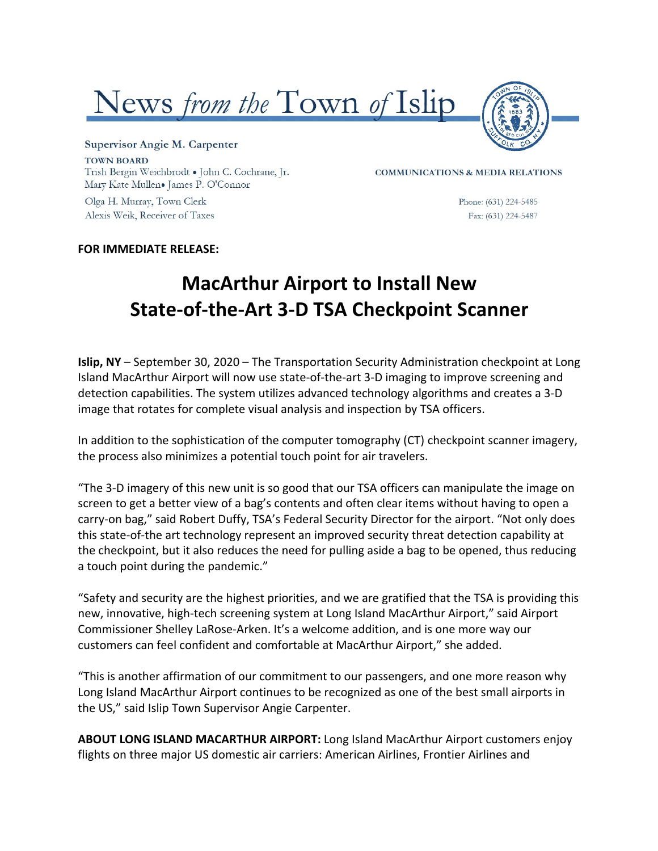



Supervisor Angie M. Carpenter **TOWN BOARD** Trish Bergin Weichbrodt . John C. Cochrane, Jr. Mary Kate Mullen. James P. O'Connor

Olga H. Murray, Town Clerk Alexis Weik, Receiver of Taxes **COMMUNICATIONS & MEDIA RELATIONS** 

Phone: (631) 224-5485 Fax: (631) 224-5487

## **FOR IMMEDIATE RELEASE:**

## **MacArthur Airport to Install New State-of-the-Art 3-D TSA Checkpoint Scanner**

**Islip, NY** – September 30, 2020 – The Transportation Security Administration checkpoint at Long Island MacArthur Airport will now use state-of-the-art 3-D imaging to improve screening and detection capabilities. The system utilizes advanced technology algorithms and creates a 3-D image that rotates for complete visual analysis and inspection by TSA officers.

In addition to the sophistication of the computer tomography (CT) checkpoint scanner imagery, the process also minimizes a potential touch point for air travelers.

"The 3-D imagery of this new unit is so good that our TSA officers can manipulate the image on screen to get a better view of a bag's contents and often clear items without having to open a carry-on bag," said Robert Duffy, TSA's Federal Security Director for the airport. "Not only does this state-of-the art technology represent an improved security threat detection capability at the checkpoint, but it also reduces the need for pulling aside a bag to be opened, thus reducing a touch point during the pandemic."

"Safety and security are the highest priorities, and we are gratified that the TSA is providing this new, innovative, high-tech screening system at Long Island MacArthur Airport," said Airport Commissioner Shelley LaRose-Arken. It's a welcome addition, and is one more way our customers can feel confident and comfortable at MacArthur Airport," she added.

"This is another affirmation of our commitment to our passengers, and one more reason why Long Island MacArthur Airport continues to be recognized as one of the best small airports in the US," said Islip Town Supervisor Angie Carpenter.

**ABOUT LONG ISLAND MACARTHUR AIRPORT:** Long Island MacArthur Airport customers enjoy flights on three major US domestic air carriers: American Airlines, Frontier Airlines and